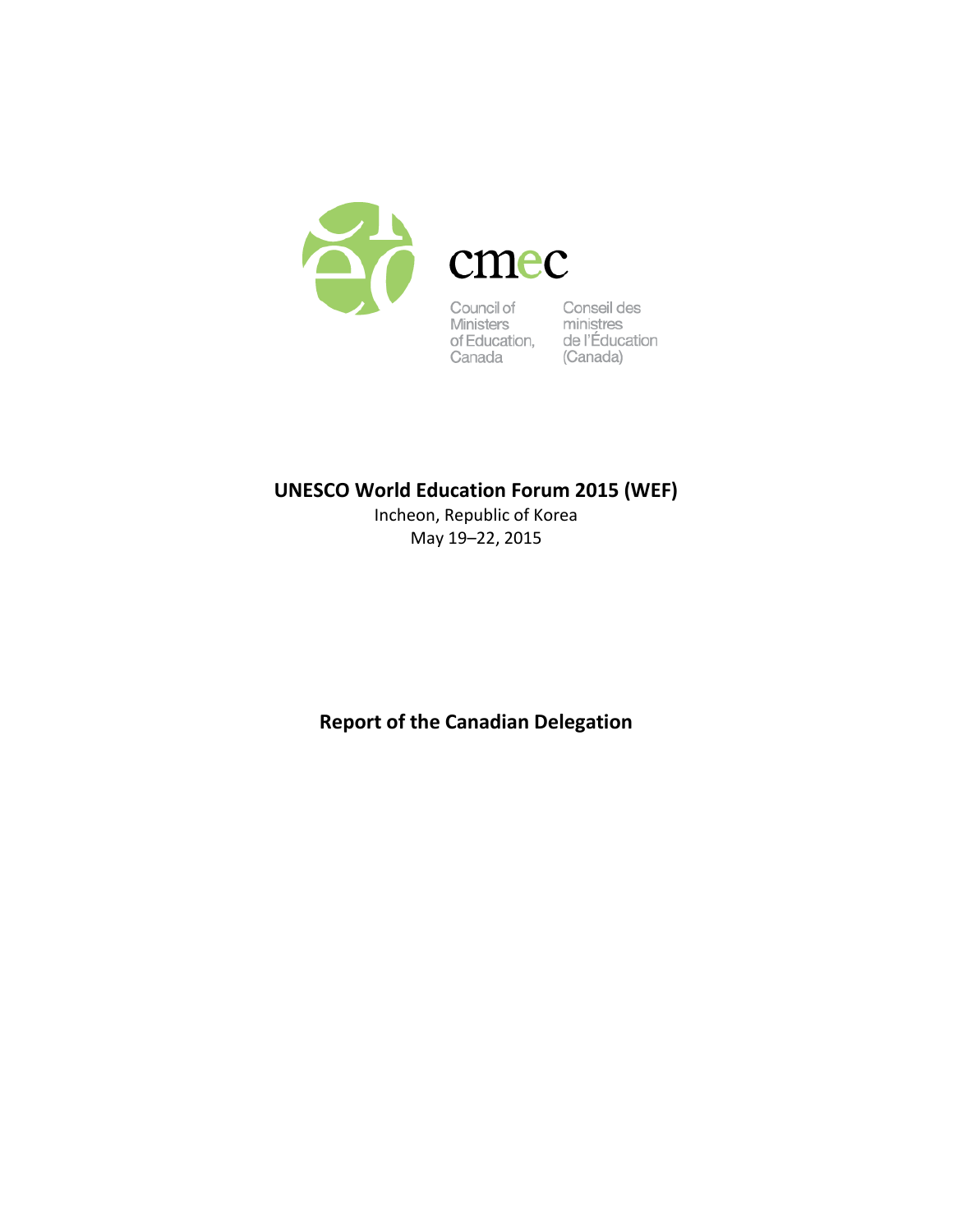

Council of Conseil des<br>
Ministers ministres<br>
of Education, de l'Éducation<br>
Canada (Canada)

# **UNESCO World Education Forum 2015 (WEF)**

Incheon, Republic of Korea May 19–22, 2015

**Report of the Canadian Delegation**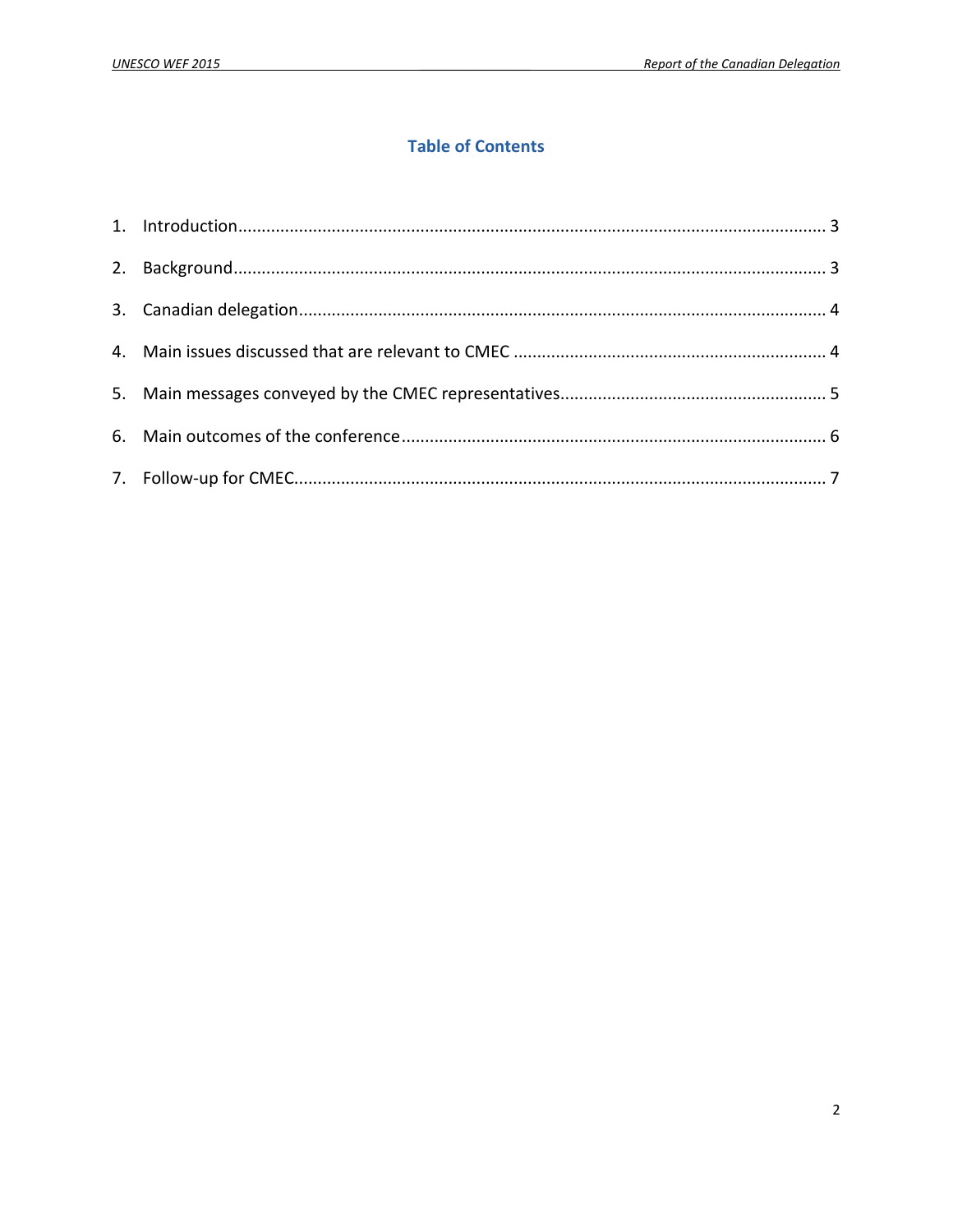# **Table of Contents**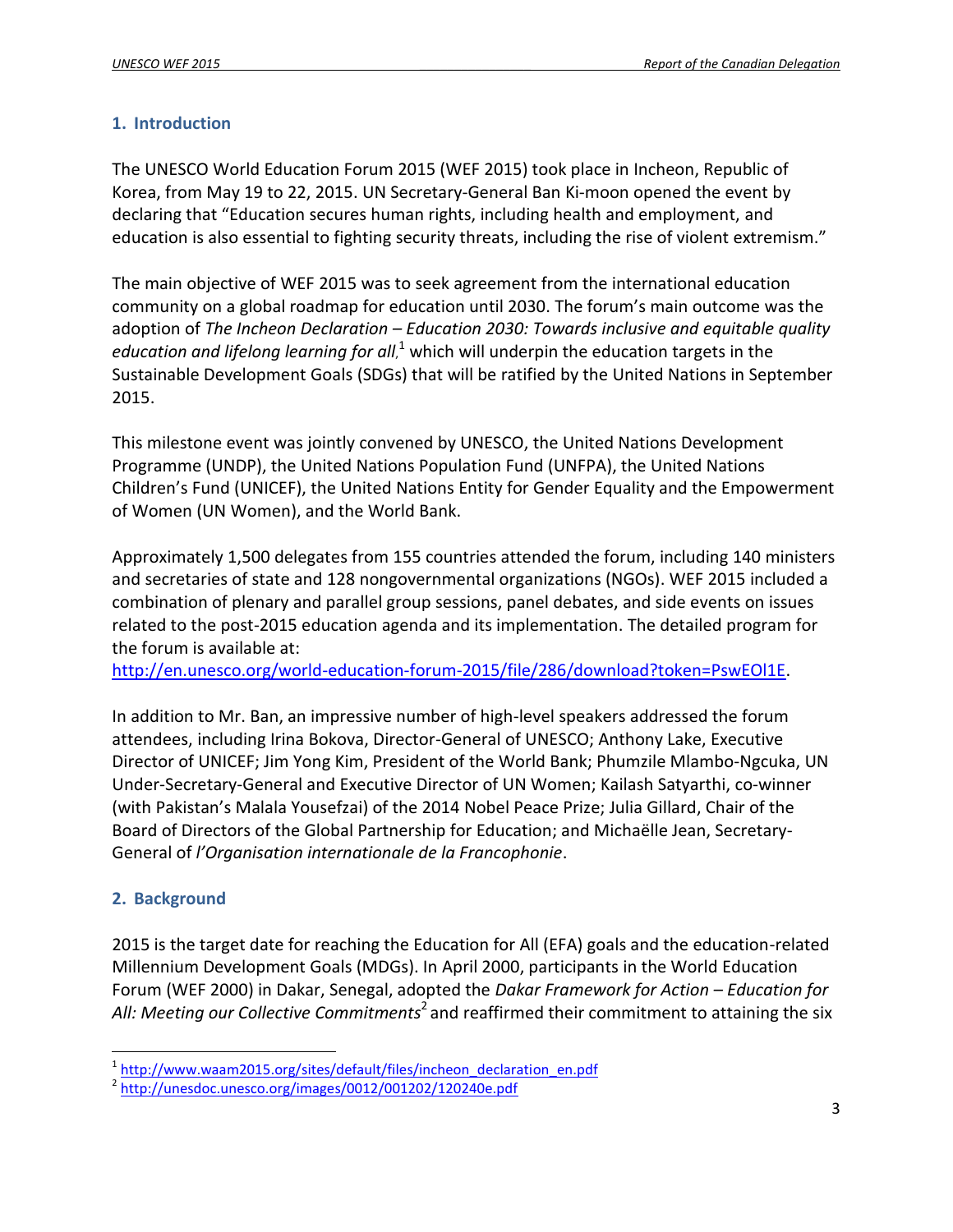#### <span id="page-2-0"></span>**1. Introduction**

The UNESCO World Education Forum 2015 (WEF 2015) took place in Incheon, Republic of Korea, from May 19 to 22, 2015. UN Secretary-General Ban Ki-moon opened the event by declaring that "Education secures human rights, including health and employment, and education is also essential to fighting security threats, including the rise of violent extremism."

The main objective of WEF 2015 was to seek agreement from the international education community on a global roadmap for education until 2030. The forum's main outcome was the adoption of *The Incheon Declaration – Education 2030: Towards inclusive and equitable quality*  education and lifelong learning for all,<sup>1</sup> which will underpin the education targets in the Sustainable Development Goals (SDGs) that will be ratified by the United Nations in September 2015.

This milestone event was jointly convened by UNESCO, the United Nations Development Programme (UNDP), the United Nations Population Fund (UNFPA), the United Nations Children's Fund (UNICEF), the United Nations Entity for Gender Equality and the Empowerment of Women (UN Women), and the World Bank.

Approximately 1,500 delegates from 155 countries attended the forum, including 140 ministers and secretaries of state and 128 nongovernmental organizations (NGOs). WEF 2015 included a combination of plenary and parallel group sessions, panel debates, and side events on issues related to the post-2015 education agenda and its implementation. The detailed program for the forum is available at:

[http://en.unesco.org/world-education-forum-2015/file/286/download?token=PswEOl1E.](http://en.unesco.org/world-education-forum-2015/file/286/download?token=PswEOl1E)

In addition to Mr. Ban, an impressive number of high-level speakers addressed the forum attendees, including Irina Bokova, Director-General of UNESCO; Anthony Lake, Executive Director of UNICEF; Jim Yong Kim, President of the World Bank; Phumzile Mlambo-Ngcuka, UN Under-Secretary-General and Executive Director of UN Women; Kailash Satyarthi, co-winner (with Pakistan's Malala Yousefzai) of the 2014 Nobel Peace Prize; Julia Gillard, Chair of the Board of Directors of the Global Partnership for Education; and Michaëlle Jean, Secretary-General of *l'Organisation internationale de la Francophonie*.

# <span id="page-2-1"></span>**2. Background**

l

2015 is the target date for reaching the Education for All (EFA) goals and the education-related Millennium Development Goals (MDGs). In April 2000, participants in the World Education Forum (WEF 2000) in Dakar, Senegal, adopted the *Dakar Framework for Action – Education for*  All: Meeting our Collective Commitments<sup>2</sup> and reaffirmed their commitment to attaining the six

<sup>&</sup>lt;sup>1</sup>[http://www.waam2015.org/sites/default/files/incheon\\_declaration\\_en.pdf](http://www.waam2015.org/sites/default/files/incheon_declaration_en.pdf)

<sup>2</sup> <http://unesdoc.unesco.org/images/0012/001202/120240e.pdf>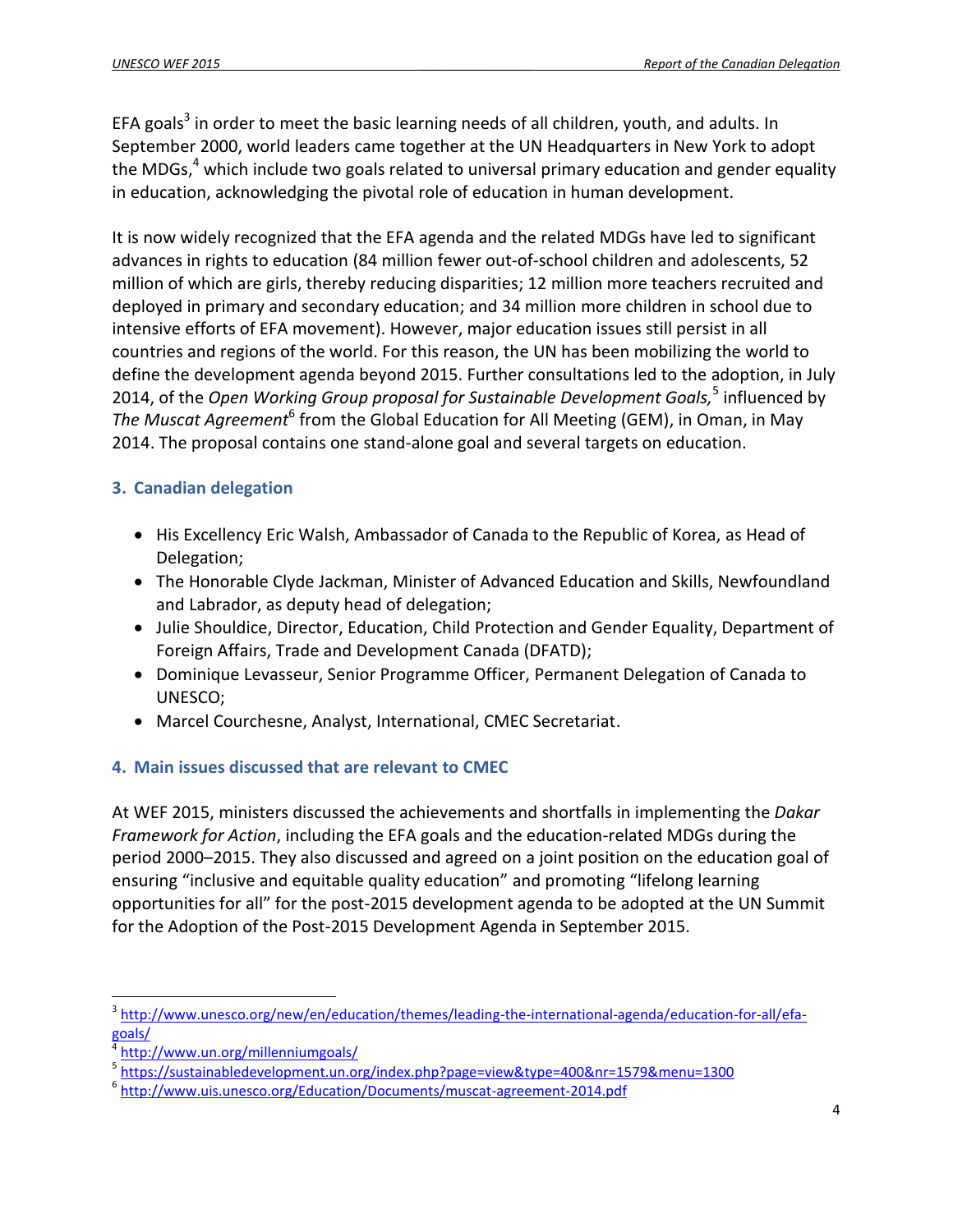EFA goals<sup>3</sup> in order to meet the basic learning needs of all children, youth, and adults. In September 2000, world leaders came together at the UN Headquarters in New York to adopt the MDGs, $<sup>4</sup>$  which include two goals related to universal primary education and gender equality</sup> in education, acknowledging the pivotal role of education in human development.

It is now widely recognized that the EFA agenda and the related MDGs have led to significant advances in rights to education (84 million fewer out-of-school children and adolescents, 52 million of which are girls, thereby reducing disparities; 12 million more teachers recruited and deployed in primary and secondary education; and 34 million more children in school due to intensive efforts of EFA movement). However, major education issues still persist in all countries and regions of the world. For this reason, the UN has been mobilizing the world to define the development agenda beyond 2015. Further consultations led to the adoption, in July 2014, of the *Open Working Group proposal for Sustainable Development Goals,* 5 influenced by The Muscat Agreement<sup>6</sup> from the Global Education for All Meeting (GEM), in Oman, in May 2014. The proposal contains one stand-alone goal and several targets on education.

# <span id="page-3-0"></span>**3. Canadian delegation**

- His Excellency Eric Walsh, Ambassador of Canada to the Republic of Korea, as Head of Delegation;
- The Honorable Clyde Jackman, Minister of Advanced Education and Skills, Newfoundland and Labrador, as deputy head of delegation;
- Julie Shouldice, Director, Education, Child Protection and Gender Equality, Department of Foreign Affairs, Trade and Development Canada (DFATD);
- Dominique Levasseur, Senior Programme Officer, Permanent Delegation of Canada to UNESCO;
- <span id="page-3-1"></span>Marcel Courchesne, Analyst, International, CMEC Secretariat.

# **4. Main issues discussed that are relevant to CMEC**

At WEF 2015, ministers discussed the achievements and shortfalls in implementing the *Dakar Framework for Action*, including the EFA goals and the education-related MDGs during the period 2000–2015. They also discussed and agreed on a joint position on the education goal of ensuring "inclusive and equitable quality education" and promoting "lifelong learning opportunities for all" for the post-2015 development agenda to be adopted at the UN Summit for the Adoption of the Post-2015 Development Agenda in September 2015.

 $\overline{a}$ 

<sup>3</sup> [http://www.unesco.org/new/en/education/themes/leading-the-international-agenda/education-for-all/efa](http://www.unesco.org/new/en/education/themes/leading-the-international-agenda/education-for-all/efa-goals/)[goals/](http://www.unesco.org/new/en/education/themes/leading-the-international-agenda/education-for-all/efa-goals/)

<sup>4</sup> <http://www.un.org/millenniumgoals/>

<sup>5</sup> <https://sustainabledevelopment.un.org/index.php?page=view&type=400&nr=1579&menu=1300>

<sup>&</sup>lt;sup>6</sup> <http://www.uis.unesco.org/Education/Documents/muscat-agreement-2014.pdf>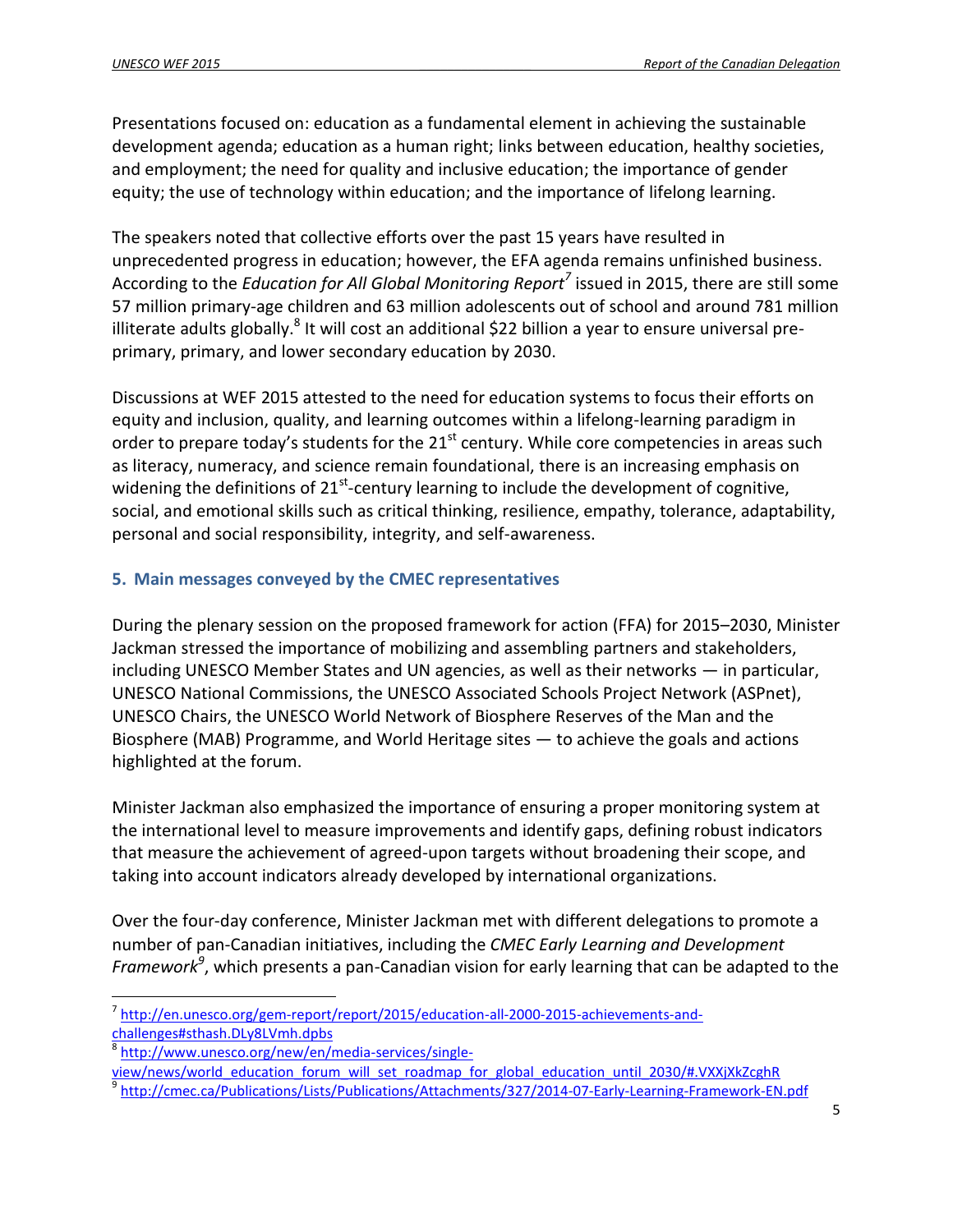Presentations focused on: education as a fundamental element in achieving the sustainable development agenda; education as a human right; links between education, healthy societies, and employment; the need for quality and inclusive education; the importance of gender equity; the use of technology within education; and the importance of lifelong learning.

The speakers noted that collective efforts over the past 15 years have resulted in unprecedented progress in education; however, the EFA agenda remains unfinished business. According to the *Education for All Global Monitoring Report<sup>7</sup>* issued in 2015, there are still some 57 million primary-age children and 63 million adolescents out of school and around 781 million illiterate adults globally. $^8$  It will cost an additional \$22 billion a year to ensure universal preprimary, primary, and lower secondary education by 2030.

Discussions at WEF 2015 attested to the need for education systems to focus their efforts on equity and inclusion, quality, and learning outcomes within a lifelong-learning paradigm in order to prepare today's students for the  $21^{st}$  century. While core competencies in areas such as literacy, numeracy, and science remain foundational, there is an increasing emphasis on widening the definitions of 21<sup>st</sup>-century learning to include the development of cognitive, social, and emotional skills such as critical thinking, resilience, empathy, tolerance, adaptability, personal and social responsibility, integrity, and self-awareness.

#### <span id="page-4-0"></span>**5. Main messages conveyed by the CMEC representatives**

During the plenary session on the proposed framework for action (FFA) for 2015–2030, Minister Jackman stressed the importance of mobilizing and assembling partners and stakeholders, including UNESCO Member States and UN agencies, as well as their networks — in particular, UNESCO National Commissions, the UNESCO Associated Schools Project Network (ASPnet), UNESCO Chairs, the UNESCO World Network of Biosphere Reserves of the Man and the Biosphere (MAB) Programme, and World Heritage sites — to achieve the goals and actions highlighted at the forum.

Minister Jackman also emphasized the importance of ensuring a proper monitoring system at the international level to measure improvements and identify gaps, defining robust indicators that measure the achievement of agreed-upon targets without broadening their scope, and taking into account indicators already developed by international organizations.

Over the four-day conference, Minister Jackman met with different delegations to promote a number of pan-Canadian initiatives, including the *CMEC Early Learning and Development Framework<sup>9</sup>* , which presents a pan-Canadian vision for early learning that can be adapted to the

 $\overline{a}$ <sup>7</sup> [http://en.unesco.org/gem-report/report/2015/education-all-2000-2015-achievements-and](http://en.unesco.org/gem-report/report/2015/education-all-2000-2015-achievements-and-challenges#sthash.DLy8LVmh.dpbs)[challenges#sthash.DLy8LVmh.dpbs](http://en.unesco.org/gem-report/report/2015/education-all-2000-2015-achievements-and-challenges#sthash.DLy8LVmh.dpbs)

<sup>&</sup>lt;sup>8</sup> [http://www.unesco.org/new/en/media-services/single-](http://www.unesco.org/new/en/media-services/single-view/news/world_education_forum_will_set_roadmap_for_global_education_until_2030/#.VXXjXkZcghR)

[view/news/world\\_education\\_forum\\_will\\_set\\_roadmap\\_for\\_global\\_education\\_until\\_2030/#.VXXjXkZcghR](http://www.unesco.org/new/en/media-services/single-view/news/world_education_forum_will_set_roadmap_for_global_education_until_2030/#.VXXjXkZcghR)

<sup>&</sup>lt;sup>9</sup> <http://cmec.ca/Publications/Lists/Publications/Attachments/327/2014-07-Early-Learning-Framework-EN.pdf>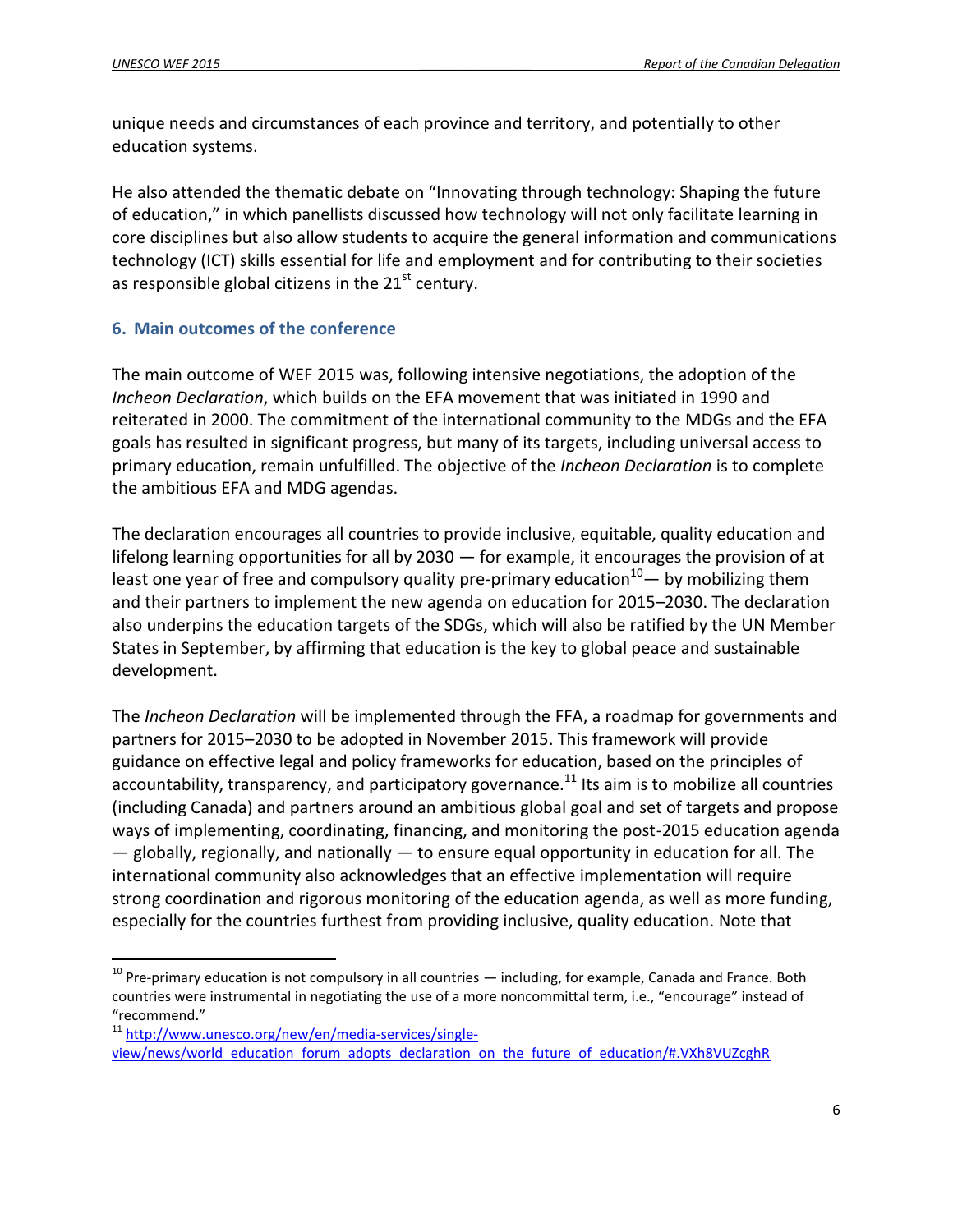$\overline{a}$ 

unique needs and circumstances of each province and territory, and potentially to other education systems.

He also attended the thematic debate on "Innovating through technology: Shaping the future of education," in which panellists discussed how technology will not only facilitate learning in core disciplines but also allow students to acquire the general information and communications technology (ICT) skills essential for life and employment and for contributing to their societies as responsible global citizens in the  $21<sup>st</sup>$  century.

#### <span id="page-5-0"></span>**6. Main outcomes of the conference**

The main outcome of WEF 2015 was, following intensive negotiations, the adoption of the *Incheon Declaration*, which builds on the EFA movement that was initiated in 1990 and reiterated in 2000. The commitment of the international community to the MDGs and the EFA goals has resulted in significant progress, but many of its targets, including universal access to primary education, remain unfulfilled. The objective of the *Incheon Declaration* is to complete the ambitious EFA and MDG agendas.

The declaration encourages all countries to provide inclusive, equitable, quality education and lifelong learning opportunities for all by 2030 — for example, it encourages the provision of at least one year of free and compulsory quality pre-primary education $10-$  by mobilizing them and their partners to implement the new agenda on education for 2015–2030. The declaration also underpins the education targets of the SDGs, which will also be ratified by the UN Member States in September, by affirming that education is the key to global peace and sustainable development.

The *Incheon Declaration* will be implemented through the FFA, a roadmap for governments and partners for 2015–2030 to be adopted in November 2015. This framework will provide guidance on effective legal and policy frameworks for education, based on the principles of accountability, transparency, and participatory governance. $^{11}$  Its aim is to mobilize all countries (including Canada) and partners around an ambitious global goal and set of targets and propose ways of implementing, coordinating, financing, and monitoring the post-2015 education agenda — globally, regionally, and nationally — to ensure equal opportunity in education for all. The international community also acknowledges that an effective implementation will require strong coordination and rigorous monitoring of the education agenda, as well as more funding, especially for the countries furthest from providing inclusive, quality education. Note that

 $10$  Pre-primary education is not compulsory in all countries  $-$  including, for example, Canada and France. Both countries were instrumental in negotiating the use of a more noncommittal term, i.e., "encourage" instead of "recommend."

<sup>&</sup>lt;sup>11</sup> [http://www.unesco.org/new/en/media-services/single](http://www.unesco.org/new/en/media-services/single-view/news/world_education_forum_adopts_declaration_on_the_future_of_education/#.VXh8VUZcghR)[view/news/world\\_education\\_forum\\_adopts\\_declaration\\_on\\_the\\_future\\_of\\_education/#.VXh8VUZcghR](http://www.unesco.org/new/en/media-services/single-view/news/world_education_forum_adopts_declaration_on_the_future_of_education/#.VXh8VUZcghR)